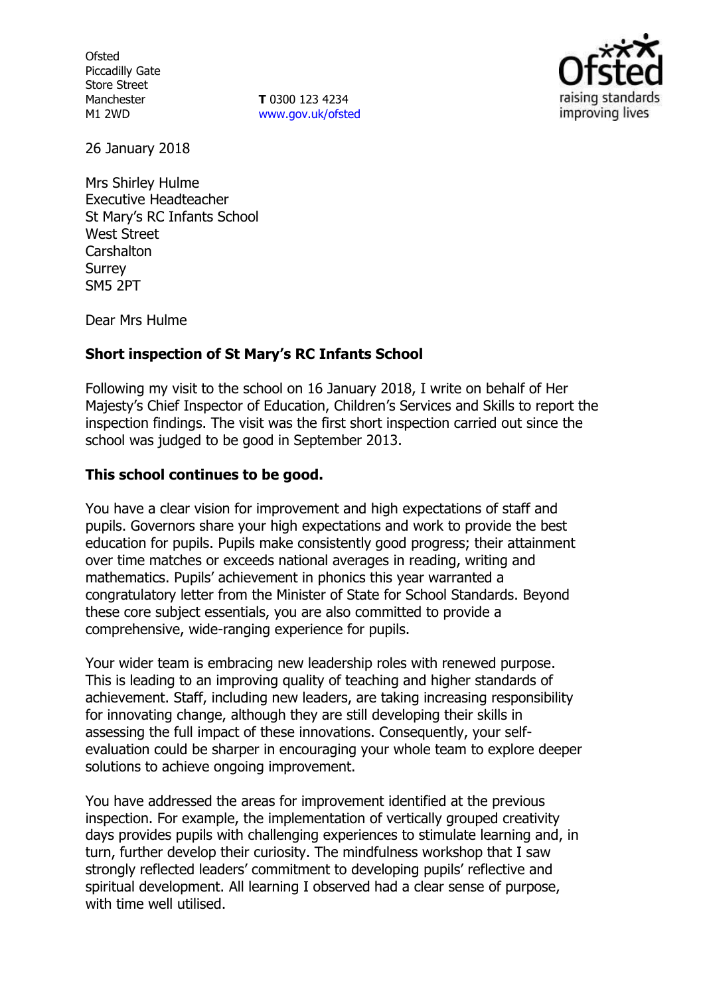**Ofsted** Piccadilly Gate Store Street Manchester M1 2WD

**T** 0300 123 4234 www.gov.uk/ofsted



26 January 2018

Mrs Shirley Hulme Executive Headteacher St Mary's RC Infants School West Street **Carshalton** Surrey SM5 2PT

Dear Mrs Hulme

### **Short inspection of St Mary's RC Infants School**

Following my visit to the school on 16 January 2018, I write on behalf of Her Majesty's Chief Inspector of Education, Children's Services and Skills to report the inspection findings. The visit was the first short inspection carried out since the school was judged to be good in September 2013.

### **This school continues to be good.**

You have a clear vision for improvement and high expectations of staff and pupils. Governors share your high expectations and work to provide the best education for pupils. Pupils make consistently good progress; their attainment over time matches or exceeds national averages in reading, writing and mathematics. Pupils' achievement in phonics this year warranted a congratulatory letter from the Minister of State for School Standards. Beyond these core subject essentials, you are also committed to provide a comprehensive, wide-ranging experience for pupils.

Your wider team is embracing new leadership roles with renewed purpose. This is leading to an improving quality of teaching and higher standards of achievement. Staff, including new leaders, are taking increasing responsibility for innovating change, although they are still developing their skills in assessing the full impact of these innovations. Consequently, your selfevaluation could be sharper in encouraging your whole team to explore deeper solutions to achieve ongoing improvement.

You have addressed the areas for improvement identified at the previous inspection. For example, the implementation of vertically grouped creativity days provides pupils with challenging experiences to stimulate learning and, in turn, further develop their curiosity. The mindfulness workshop that I saw strongly reflected leaders' commitment to developing pupils' reflective and spiritual development. All learning I observed had a clear sense of purpose, with time well utilised.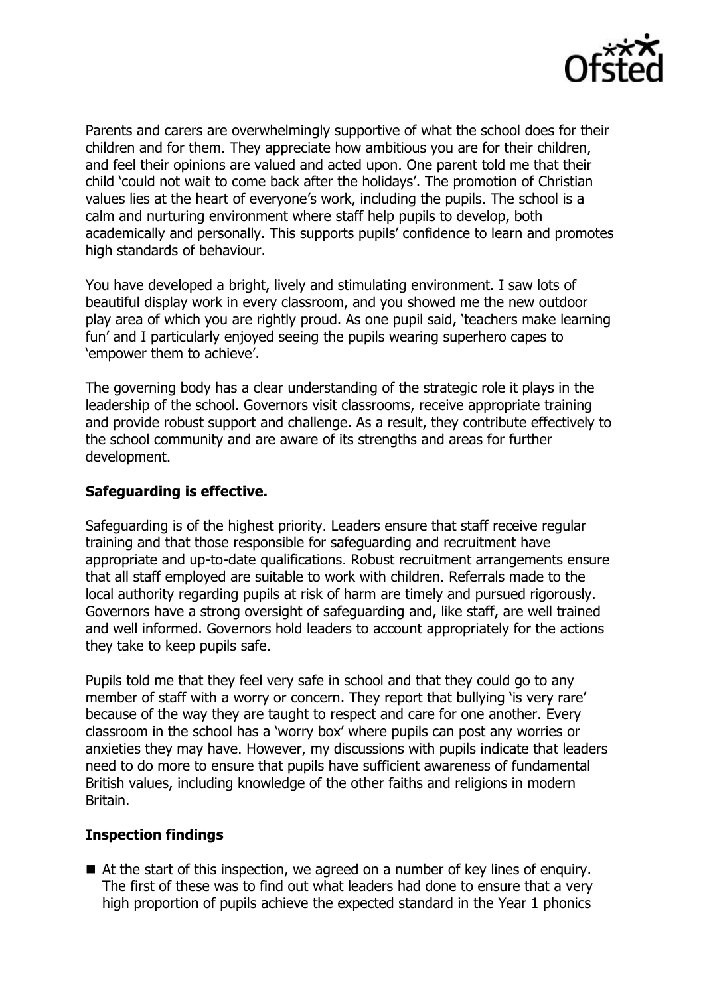

Parents and carers are overwhelmingly supportive of what the school does for their children and for them. They appreciate how ambitious you are for their children, and feel their opinions are valued and acted upon. One parent told me that their child 'could not wait to come back after the holidays'. The promotion of Christian values lies at the heart of everyone's work, including the pupils. The school is a calm and nurturing environment where staff help pupils to develop, both academically and personally. This supports pupils' confidence to learn and promotes high standards of behaviour.

You have developed a bright, lively and stimulating environment. I saw lots of beautiful display work in every classroom, and you showed me the new outdoor play area of which you are rightly proud. As one pupil said, 'teachers make learning fun' and I particularly enjoyed seeing the pupils wearing superhero capes to 'empower them to achieve'.

The governing body has a clear understanding of the strategic role it plays in the leadership of the school. Governors visit classrooms, receive appropriate training and provide robust support and challenge. As a result, they contribute effectively to the school community and are aware of its strengths and areas for further development.

### **Safeguarding is effective.**

Safeguarding is of the highest priority. Leaders ensure that staff receive regular training and that those responsible for safeguarding and recruitment have appropriate and up-to-date qualifications. Robust recruitment arrangements ensure that all staff employed are suitable to work with children. Referrals made to the local authority regarding pupils at risk of harm are timely and pursued rigorously. Governors have a strong oversight of safeguarding and, like staff, are well trained and well informed. Governors hold leaders to account appropriately for the actions they take to keep pupils safe.

Pupils told me that they feel very safe in school and that they could go to any member of staff with a worry or concern. They report that bullying 'is very rare' because of the way they are taught to respect and care for one another. Every classroom in the school has a 'worry box' where pupils can post any worries or anxieties they may have. However, my discussions with pupils indicate that leaders need to do more to ensure that pupils have sufficient awareness of fundamental British values, including knowledge of the other faiths and religions in modern Britain.

### **Inspection findings**

■ At the start of this inspection, we agreed on a number of key lines of enguiry. The first of these was to find out what leaders had done to ensure that a very high proportion of pupils achieve the expected standard in the Year 1 phonics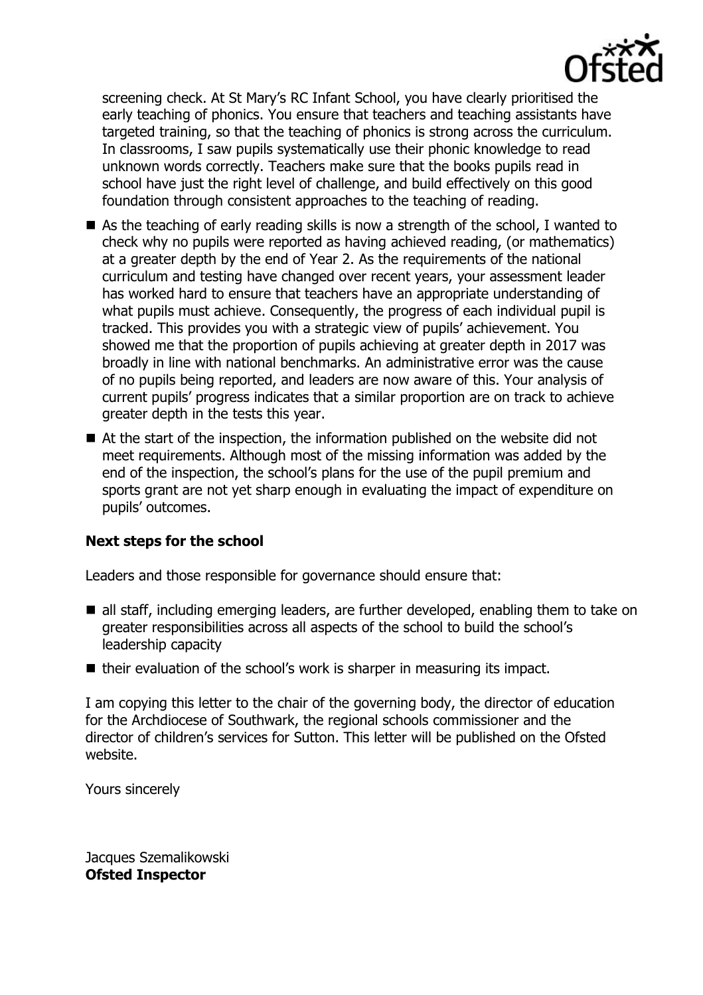

screening check. At St Mary's RC Infant School, you have clearly prioritised the early teaching of phonics. You ensure that teachers and teaching assistants have targeted training, so that the teaching of phonics is strong across the curriculum. In classrooms, I saw pupils systematically use their phonic knowledge to read unknown words correctly. Teachers make sure that the books pupils read in school have just the right level of challenge, and build effectively on this good foundation through consistent approaches to the teaching of reading.

- As the teaching of early reading skills is now a strength of the school, I wanted to check why no pupils were reported as having achieved reading, (or mathematics) at a greater depth by the end of Year 2. As the requirements of the national curriculum and testing have changed over recent years, your assessment leader has worked hard to ensure that teachers have an appropriate understanding of what pupils must achieve. Consequently, the progress of each individual pupil is tracked. This provides you with a strategic view of pupils' achievement. You showed me that the proportion of pupils achieving at greater depth in 2017 was broadly in line with national benchmarks. An administrative error was the cause of no pupils being reported, and leaders are now aware of this. Your analysis of current pupils' progress indicates that a similar proportion are on track to achieve greater depth in the tests this year.
- At the start of the inspection, the information published on the website did not meet requirements. Although most of the missing information was added by the end of the inspection, the school's plans for the use of the pupil premium and sports grant are not yet sharp enough in evaluating the impact of expenditure on pupils' outcomes.

# **Next steps for the school**

Leaders and those responsible for governance should ensure that:

- all staff, including emerging leaders, are further developed, enabling them to take on greater responsibilities across all aspects of the school to build the school's leadership capacity
- $\blacksquare$  their evaluation of the school's work is sharper in measuring its impact.

I am copying this letter to the chair of the governing body, the director of education for the Archdiocese of Southwark, the regional schools commissioner and the director of children's services for Sutton. This letter will be published on the Ofsted website.

Yours sincerely

Jacques Szemalikowski **Ofsted Inspector**